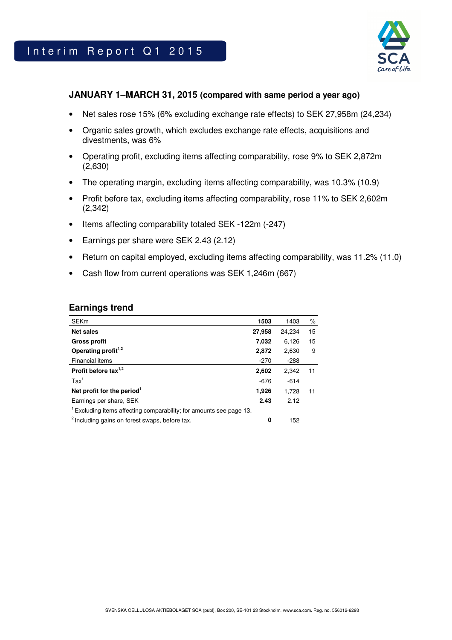

## **JANUARY 1–MARCH 31, 2015 (compared with same period a year ago)**

- Net sales rose 15% (6% excluding exchange rate effects) to SEK 27,958m (24,234)
- Organic sales growth, which excludes exchange rate effects, acquisitions and divestments, was 6%
- Operating profit, excluding items affecting comparability, rose 9% to SEK 2,872m (2,630)
- The operating margin, excluding items affecting comparability, was 10.3% (10.9)
- Profit before tax, excluding items affecting comparability, rose 11% to SEK 2,602m (2,342)
- Items affecting comparability totaled SEK -122m (-247)
- Earnings per share were SEK 2.43 (2.12)
- Return on capital employed, excluding items affecting comparability, was 11.2% (11.0)
- Cash flow from current operations was SEK 1,246m (667)

## **Earnings trend**

| <b>SEKm</b>                                                                    | 1503   | 1403   | ℅  |
|--------------------------------------------------------------------------------|--------|--------|----|
| <b>Net sales</b>                                                               | 27,958 | 24,234 | 15 |
| <b>Gross profit</b>                                                            | 7,032  | 6,126  | 15 |
| Operating profit <sup>1,2</sup>                                                | 2,872  | 2,630  | 9  |
| Financial items                                                                | $-270$ | $-288$ |    |
| Profit before tax $1,2$                                                        | 2,602  | 2,342  | 11 |
| $\text{Tax}^1$                                                                 | $-676$ | $-614$ |    |
| Net profit for the period <sup>1</sup>                                         | 1,926  | 1.728  | 11 |
| Earnings per share, SEK                                                        | 2.43   | 2.12   |    |
| <sup>1</sup> Excluding items affecting comparability; for amounts see page 13. |        |        |    |
| <sup>2</sup> Including gains on forest swaps, before tax.                      | 0      | 152    |    |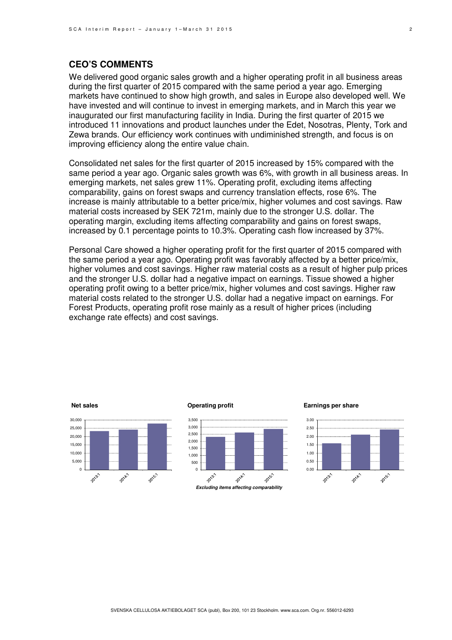## **CEO'S COMMENTS**

We delivered good organic sales growth and a higher operating profit in all business areas during the first quarter of 2015 compared with the same period a year ago. Emerging markets have continued to show high growth, and sales in Europe also developed well. We have invested and will continue to invest in emerging markets, and in March this year we inaugurated our first manufacturing facility in India. During the first quarter of 2015 we introduced 11 innovations and product launches under the Edet, Nosotras, Plenty, Tork and Zewa brands. Our efficiency work continues with undiminished strength, and focus is on improving efficiency along the entire value chain.

Consolidated net sales for the first quarter of 2015 increased by 15% compared with the same period a year ago. Organic sales growth was 6%, with growth in all business areas. In emerging markets, net sales grew 11%. Operating profit, excluding items affecting comparability, gains on forest swaps and currency translation effects, rose 6%. The increase is mainly attributable to a better price/mix, higher volumes and cost savings. Raw material costs increased by SEK 721m, mainly due to the stronger U.S. dollar. The operating margin, excluding items affecting comparability and gains on forest swaps, increased by 0.1 percentage points to 10.3%. Operating cash flow increased by 37%.

Personal Care showed a higher operating profit for the first quarter of 2015 compared with the same period a year ago. Operating profit was favorably affected by a better price/mix, higher volumes and cost savings. Higher raw material costs as a result of higher pulp prices and the stronger U.S. dollar had a negative impact on earnings. Tissue showed a higher operating profit owing to a better price/mix, higher volumes and cost savings. Higher raw material costs related to the stronger U.S. dollar had a negative impact on earnings. For Forest Products, operating profit rose mainly as a result of higher prices (including exchange rate effects) and cost savings.

### **Net sales** 30,000 25,000 20,000 15,000 10,000 5,000  $\overline{0}$ 2013:1 2014.1 2015'

#### **Operating profit**



**Excluding items affecting comparability** 

**Earnings per share**

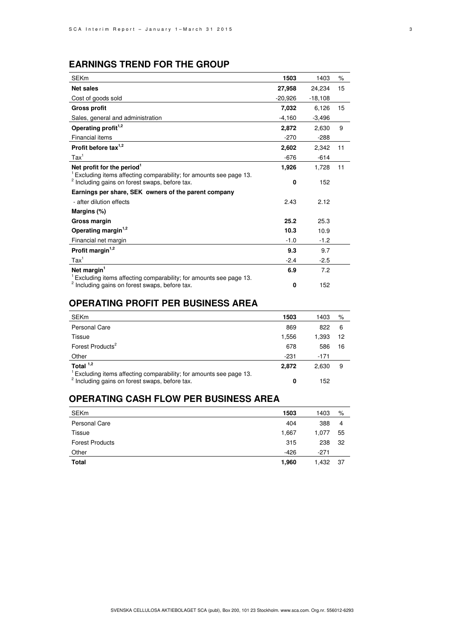## **EARNINGS TREND FOR THE GROUP**

| <b>SEKm</b>                                                                                                                                 | 1503      | 1403      | $\%$ |
|---------------------------------------------------------------------------------------------------------------------------------------------|-----------|-----------|------|
| <b>Net sales</b>                                                                                                                            | 27,958    | 24,234    | 15   |
| Cost of goods sold                                                                                                                          | $-20.926$ | $-18,108$ |      |
| <b>Gross profit</b>                                                                                                                         | 7,032     | 6,126     | 15   |
| Sales, general and administration                                                                                                           | $-4,160$  | $-3,496$  |      |
| Operating profit <sup>1,2</sup>                                                                                                             | 2.872     | 2.630     | 9    |
| Financial items                                                                                                                             | $-270$    | $-288$    |      |
| Profit before tax $1,2$                                                                                                                     | 2,602     | 2.342     | 11   |
| $\text{Tax}^1$                                                                                                                              | $-676$    | $-614$    |      |
| Net profit for the period $1$                                                                                                               | 1,926     | 1,728     | 11   |
| <sup>1</sup> Excluding items affecting comparability; for amounts see page 13.<br><sup>2</sup> Including gains on forest swaps, before tax. | 0         | 152       |      |
| Earnings per share, SEK owners of the parent company                                                                                        |           |           |      |
| - after dilution effects                                                                                                                    | 2.43      | 2.12      |      |
| Margins (%)                                                                                                                                 |           |           |      |
| Gross margin                                                                                                                                | 25.2      | 25.3      |      |
| Operating margin <sup>1,2</sup>                                                                                                             | 10.3      | 10.9      |      |
| Financial net margin                                                                                                                        | $-1.0$    | $-1.2$    |      |
| Profit margin <sup>1,2</sup>                                                                                                                | 9.3       | 9.7       |      |
| $\text{Tax}^1$                                                                                                                              | $-2.4$    | $-2.5$    |      |
| Net margin <sup>1</sup>                                                                                                                     | 6.9       | 7.2       |      |
| Excluding items affecting comparability; for amounts see page 13.                                                                           |           |           |      |
| Including gains on forest swaps, before tax.                                                                                                | 0         | 152       |      |

## **OPERATING PROFIT PER BUSINESS AREA**

| <b>SEKm</b>                                                                                                                                 | 1503   | 1403  | %  |
|---------------------------------------------------------------------------------------------------------------------------------------------|--------|-------|----|
| <b>Personal Care</b>                                                                                                                        | 869    | 822   | 6  |
| Tissue                                                                                                                                      | 1.556  | 1.393 | 12 |
| Forest Products <sup>2</sup>                                                                                                                | 678    | 586   | 16 |
| Other                                                                                                                                       | $-231$ | -171  |    |
| Total $1,2$                                                                                                                                 | 2,872  | 2.630 | 9  |
| <sup>1</sup> Excluding items affecting comparability; for amounts see page 13.<br><sup>2</sup> Including gains on forest swaps, before tax. | 0      | 152   |    |

# **OPERATING CASH FLOW PER BUSINESS AREA**

| <b>SEKm</b>            | 1503   | 1403   | %   |
|------------------------|--------|--------|-----|
| Personal Care          | 404    | 388    | 4   |
| Tissue                 | 1,667  | 1.077  | 55  |
| <b>Forest Products</b> | 315    | 238    | 32  |
| Other                  | $-426$ | $-271$ |     |
| Total                  | 1,960  | 1,432  | -37 |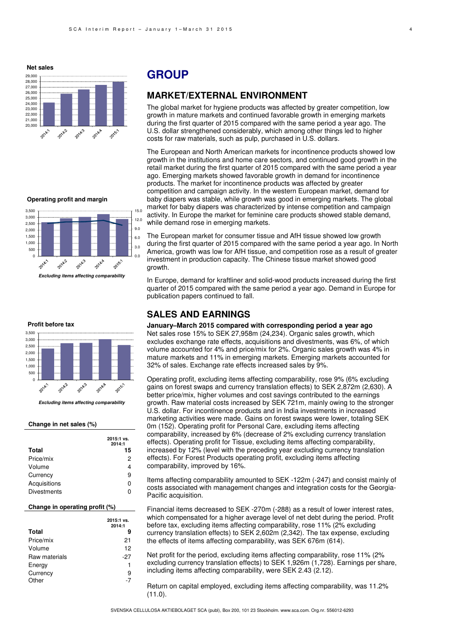**Net sales**



**Operating profit and margin**







### **Change in net sales (%)**

| <b>Total</b>       | 2015:1 vs.<br>2014:1<br>15 |
|--------------------|----------------------------|
|                    |                            |
| Price/mix          | 2                          |
| Volume             | 4                          |
| Currency           | 9                          |
| Acquisitions       | 0                          |
| <b>Divestments</b> | ŋ                          |

### **Change in operating profit (%)**

|               | 2015:1 vs.<br>2014:1 |
|---------------|----------------------|
| <b>Total</b>  | 9                    |
| Price/mix     | 21                   |
| Volume        | 12                   |
| Raw materials | -27                  |
| Energy        | 1                    |
| Currency      | 9                    |
| Other         | -7                   |
|               |                      |

## **GROUP**

### **MARKET/EXTERNAL ENVIRONMENT**

The global market for hygiene products was affected by greater competition, low growth in mature markets and continued favorable growth in emerging markets during the first quarter of 2015 compared with the same period a year ago. The U.S. dollar strengthened considerably, which among other things led to higher costs for raw materials, such as pulp, purchased in U.S. dollars.

The European and North American markets for incontinence products showed low growth in the institutions and home care sectors, and continued good growth in the retail market during the first quarter of 2015 compared with the same period a year ago. Emerging markets showed favorable growth in demand for incontinence products. The market for incontinence products was affected by greater competition and campaign activity. In the western European market, demand for baby diapers was stable, while growth was good in emerging markets. The global market for baby diapers was characterized by intense competition and campaign activity. In Europe the market for feminine care products showed stable demand, while demand rose in emerging markets.

The European market for consumer tissue and AfH tissue showed low growth during the first quarter of 2015 compared with the same period a year ago. In North America, growth was low for AfH tissue, and competition rose as a result of greater investment in production capacity. The Chinese tissue market showed good growth.

In Europe, demand for kraftliner and solid-wood products increased during the first quarter of 2015 compared with the same period a year ago. Demand in Europe for publication papers continued to fall.

## **SALES AND EARNINGS**

**January–March 2015 compared with corresponding period a year ago**  Net sales rose 15% to SEK 27,958m (24,234). Organic sales growth, which excludes exchange rate effects, acquisitions and divestments, was 6%, of which volume accounted for 4% and price/mix for 2%. Organic sales growth was 4% in mature markets and 11% in emerging markets. Emerging markets accounted for 32% of sales. Exchange rate effects increased sales by 9%.

Operating profit, excluding items affecting comparability, rose 9% (6% excluding gains on forest swaps and currency translation effects) to SEK 2,872m (2,630). A better price/mix, higher volumes and cost savings contributed to the earnings growth. Raw material costs increased by SEK 721m, mainly owing to the stronger U.S. dollar. For incontinence products and in India investments in increased marketing activities were made. Gains on forest swaps were lower, totaling SEK 0m (152). Operating profit for Personal Care, excluding items affecting comparability, increased by 6% (decrease of 2% excluding currency translation effects). Operating profit for Tissue, excluding items affecting comparability, increased by 12% (level with the preceding year excluding currency translation effects). For Forest Products operating profit, excluding items affecting comparability, improved by 16%.

Items affecting comparability amounted to SEK -122m (-247) and consist mainly of costs associated with management changes and integration costs for the Georgia-Pacific acquisition.

Financial items decreased to SEK -270m (-288) as a result of lower interest rates, which compensated for a higher average level of net debt during the period. Profit before tax, excluding items affecting comparability, rose 11% (2% excluding currency translation effects) to SEK 2,602m (2,342). The tax expense, excluding the effects of items affecting comparability, was SEK 676m (614).

Net profit for the period, excluding items affecting comparability, rose 11% (2% excluding currency translation effects) to SEK 1,926m (1,728). Earnings per share, including items affecting comparability, were SEK 2.43 (2.12).

Return on capital employed, excluding items affecting comparability, was 11.2% (11.0).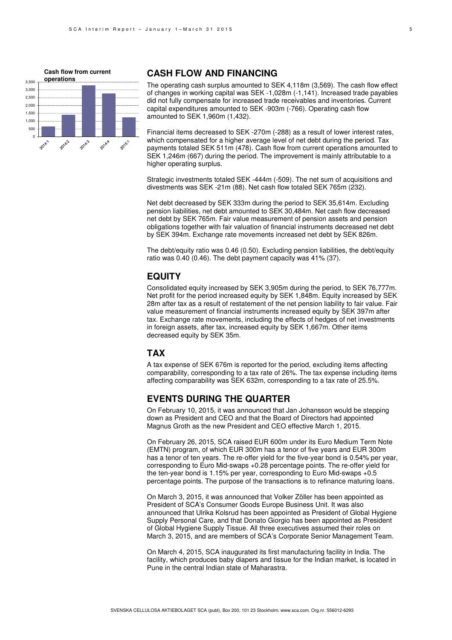

### **CASH FLOW AND FINANCING**

The operating cash surplus amounted to SEK 4,118m (3,569). The cash flow effect of changes in working capital was SEK -1,028m (-1,141). Increased trade payables did not fully compensate for increased trade receivables and inventories. Current capital expenditures amounted to SEK -903m (-766). Operating cash flow amounted to SEK 1,960m (1,432).

Financial items decreased to SEK -270m (-288) as a result of lower interest rates, which compensated for a higher average level of net debt during the period. Tax payments totaled SEK 511m (478). Cash flow from current operations amounted to SEK 1,246m (667) during the period. The improvement is mainly attributable to a higher operating surplus.

Strategic investments totaled SEK -444m (-509). The net sum of acquisitions and divestments was SEK -21m (88). Net cash flow totaled SEK 765m (232).

Net debt decreased by SEK 333m during the period to SEK 35,614m. Excluding pension liabilities, net debt amounted to SEK 30,484m. Net cash flow decreased net debt by SEK 765m. Fair value measurement of pension assets and pension obligations together with fair valuation of financial instruments decreased net debt by SEK 394m. Exchange rate movements increased net debt by SEK 826m.

The debt/equity ratio was 0.46 (0.50). Excluding pension liabilities, the debt/equity ratio was 0.40 (0.46). The debt payment capacity was 41% (37).

### **EQUITY**

Consolidated equity increased by SEK 3,905m during the period, to SEK 76,777m. Net profit for the period increased equity by SEK 1,848m. Equity increased by SEK 28m after tax as a result of restatement of the net pension liability to fair value. Fair value measurement of financial instruments increased equity by SEK 397m after tax. Exchange rate movements, including the effects of hedges of net investments in foreign assets, after tax, increased equity by SEK 1,667m. Other items decreased equity by SEK 35m.

### **TAX**

A tax expense of SEK 676m is reported for the period, excluding items affecting comparability, corresponding to a tax rate of 26%. The tax expense including items affecting comparability was SEK 632m, corresponding to a tax rate of 25.5%.

## **EVENTS DURING THE QUARTER**

On February 10, 2015, it was announced that Jan Johansson would be stepping down as President and CEO and that the Board of Directors had appointed Magnus Groth as the new President and CEO effective March 1, 2015.

On February 26, 2015, SCA raised EUR 600m under its Euro Medium Term Note (EMTN) program, of which EUR 300m has a tenor of five years and EUR 300m has a tenor of ten years. The re-offer yield for the five-year bond is 0.54% per year, corresponding to Euro Mid-swaps +0.28 percentage points. The re-offer yield for the ten-year bond is 1.15% per year, corresponding to Euro Mid-swaps +0.5 percentage points. The purpose of the transactions is to refinance maturing loans.

On March 3, 2015, it was announced that Volker Zöller has been appointed as President of SCA's Consumer Goods Europe Business Unit. It was also announced that Ulrika Kolsrud has been appointed as President of Global Hygiene Supply Personal Care, and that Donato Giorgio has been appointed as President of Global Hygiene Supply Tissue. All three executives assumed their roles on March 3, 2015, and are members of SCA's Corporate Senior Management Team.

On March 4, 2015, SCA inaugurated its first manufacturing facility in India. The facility, which produces baby diapers and tissue for the Indian market, is located in Pune in the central Indian state of Maharastra.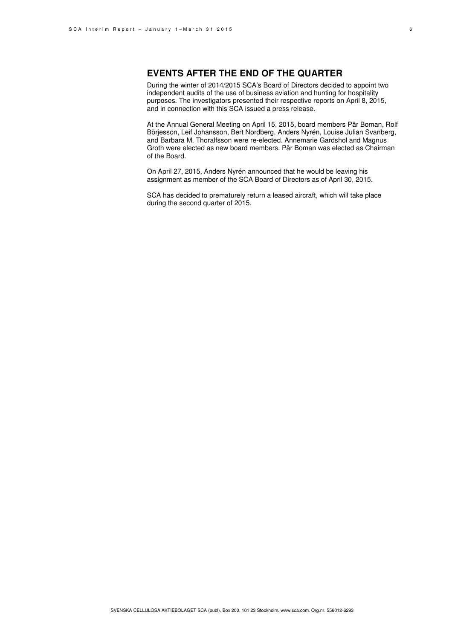## **EVENTS AFTER THE END OF THE QUARTER**

During the winter of 2014/2015 SCA's Board of Directors decided to appoint two independent audits of the use of business aviation and hunting for hospitality purposes. The investigators presented their respective reports on April 8, 2015, and in connection with this SCA issued a press release.

At the Annual General Meeting on April 15, 2015, board members Pär Boman, Rolf Börjesson, Leif Johansson, Bert Nordberg, Anders Nyrén, Louise Julian Svanberg, and Barbara M. Thoralfsson were re-elected. Annemarie Gardshol and Magnus Groth were elected as new board members. Pär Boman was elected as Chairman of the Board.

On April 27, 2015, Anders Nyrén announced that he would be leaving his assignment as member of the SCA Board of Directors as of April 30, 2015.

SCA has decided to prematurely return a leased aircraft, which will take place during the second quarter of 2015.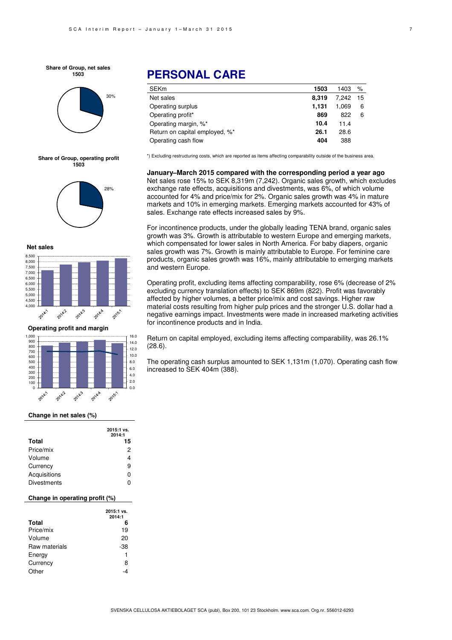**Share of Group, net sales 1503**







**Net sales**



**Operating profit and margin**



#### **Change in net sales (%)**

| <b>Total</b>       | 2015:1 vs.<br>2014:1<br>15 |
|--------------------|----------------------------|
| Price/mix          | 2                          |
| Volume             | 4                          |
| Currency           | 9                          |
| Acquisitions       | ŋ                          |
| <b>Divestments</b> |                            |

### **Change in operating profit (%)**

|               | 2015:1 vs.<br>2014:1 |
|---------------|----------------------|
| <b>Total</b>  | 6                    |
| Price/mix     | 19                   |
| Volume        | 20                   |
| Raw materials | -38                  |
| Energy        | 1                    |
| Currency      | 8                    |
| Other         |                      |

# **PERSONAL CARE**

| <b>SEKm</b>                    | 1503  | 1403  | %    |
|--------------------------------|-------|-------|------|
| Net sales                      | 8.319 | 7.242 | - 15 |
| Operating surplus              | 1.131 | 1.069 | 6    |
| Operating profit*              | 869   | 822   | 6    |
| Operating margin, %*           | 10.4  | 11.4  |      |
| Return on capital employed, %* | 26.1  | 28.6  |      |
| Operating cash flow            | 404   | 388   |      |

\*) Excluding restructuring costs, which are reported as items affecting comparability outside of the business area.

**January–March 2015 compared with the corresponding period a year ago**  Net sales rose 15% to SEK 8,319m (7,242). Organic sales growth, which excludes exchange rate effects, acquisitions and divestments, was 6%, of which volume accounted for 4% and price/mix for 2%. Organic sales growth was 4% in mature markets and 10% in emerging markets. Emerging markets accounted for 43% of sales. Exchange rate effects increased sales by 9%.

For incontinence products, under the globally leading TENA brand, organic sales growth was 3%. Growth is attributable to western Europe and emerging markets, which compensated for lower sales in North America. For baby diapers, organic sales growth was 7%. Growth is mainly attributable to Europe. For feminine care products, organic sales growth was 16%, mainly attributable to emerging markets and western Europe.

Operating profit, excluding items affecting comparability, rose 6% (decrease of 2% excluding currency translation effects) to SEK 869m (822). Profit was favorably affected by higher volumes, a better price/mix and cost savings. Higher raw material costs resulting from higher pulp prices and the stronger U.S. dollar had a negative earnings impact. Investments were made in increased marketing activities for incontinence products and in India.

Return on capital employed, excluding items affecting comparability, was 26.1% (28.6).

The operating cash surplus amounted to SEK 1,131m (1,070). Operating cash flow increased to SEK 404m (388).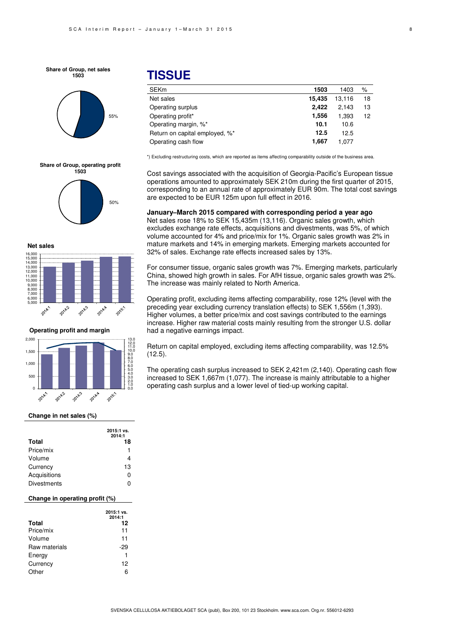**Share of Group, net sales 1503**



#### **Share of Group, operating profit 1503**



**Net sales**



**Operating profit and margin**



#### **Change in net sales (%)**

| <b>Total</b>       | 2015:1 vs.<br>2014:1<br>18 |
|--------------------|----------------------------|
| Price/mix          |                            |
| Volume             | 4                          |
| Currency           | 13                         |
| Acquisitions       | ი                          |
| <b>Divestments</b> |                            |

#### **Change in operating profit (%)**

|               | 2015:1 vs.<br>2014:1 |
|---------------|----------------------|
| <b>Total</b>  | 12                   |
| Price/mix     | 11                   |
| Volume        | 11                   |
| Raw materials | -29                  |
| Energy        | 1                    |
| Currency      | 12                   |
| Other         | ิค                   |

## **TISSUE**

| <b>SEKm</b>                    | 1503   | 1403   | ℅                 |
|--------------------------------|--------|--------|-------------------|
| Net sales                      | 15.435 | 13.116 | 18                |
| Operating surplus              | 2.422  | 2.143  | 13                |
| Operating profit*              | 1,556  | 1.393  | $12 \overline{ }$ |
| Operating margin, %*           | 10.1   | 10.6   |                   |
| Return on capital employed, %* | 12.5   | 12.5   |                   |
| Operating cash flow            | 1.667  | 1.077  |                   |

\*) Excluding restructuring costs, which are reported as items affecting comparability outside of the business area.

Cost savings associated with the acquisition of Georgia-Pacific's European tissue operations amounted to approximately SEK 210m during the first quarter of 2015, corresponding to an annual rate of approximately EUR 90m. The total cost savings are expected to be EUR 125m upon full effect in 2016.

### **January–March 2015 compared with corresponding period a year ago**

Net sales rose 18% to SEK 15,435m (13,116). Organic sales growth, which excludes exchange rate effects, acquisitions and divestments, was 5%, of which volume accounted for 4% and price/mix for 1%. Organic sales growth was 2% in mature markets and 14% in emerging markets. Emerging markets accounted for 32% of sales. Exchange rate effects increased sales by 13%.

For consumer tissue, organic sales growth was 7%. Emerging markets, particularly China, showed high growth in sales. For AfH tissue, organic sales growth was 2%. The increase was mainly related to North America.

Operating profit, excluding items affecting comparability, rose 12% (level with the preceding year excluding currency translation effects) to SEK 1,556m (1,393). Higher volumes, a better price/mix and cost savings contributed to the earnings increase. Higher raw material costs mainly resulting from the stronger U.S. dollar had a negative earnings impact.

Return on capital employed, excluding items affecting comparability, was 12.5% (12.5).

The operating cash surplus increased to SEK 2,421m (2,140). Operating cash flow increased to SEK 1,667m (1,077). The increase is mainly attributable to a higher operating cash surplus and a lower level of tied-up working capital.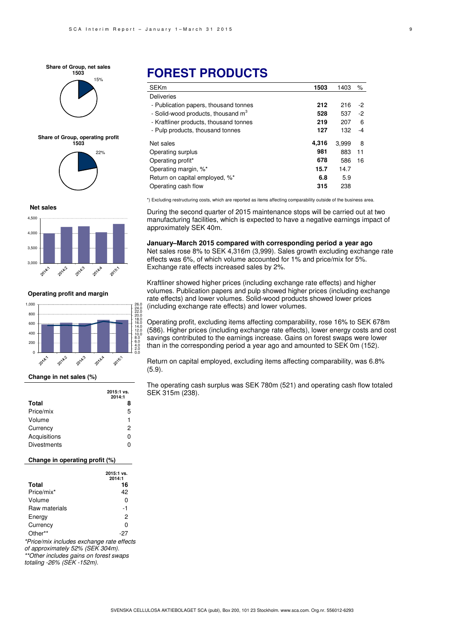15% **Share of Group, net sales 1503**



## 22% **Share of Group, operating profit 1503**



**Net sales** 4,500 4,000 3,500 3,000 2014-2 2014.3 2014: 2014.4 2015-

**Operating profit and margin**



### **Change in net sales (%)**

|                    | 2015:1 vs.<br>2014:1 |
|--------------------|----------------------|
| <b>Total</b>       | 8                    |
| Price/mix          | 5                    |
| Volume             | 1                    |
| Currency           | 2                    |
| Acquisitions       | ŋ                    |
| <b>Divestments</b> | ი                    |

### **Change in operating profit (%)**

|               | 2015:1 vs.<br>2014:1 |
|---------------|----------------------|
| <b>Total</b>  | 16                   |
| Price/mix*    | 42                   |
| Volume        | 0                    |
| Raw materials | -1                   |
| Energy        | 2                    |
| Currency      | 0                    |
| Other**       | -27                  |
|               |                      |

\*Price/mix includes exchange rate effects of approximately 52% (SEK 304m). \*\*Other includes gains on forest swaps

totaling -26% (SEK -152m).

# **FOREST PRODUCTS**

| <b>SEKm</b>                            | 1503  | 1403  | %    |
|----------------------------------------|-------|-------|------|
| <b>Deliveries</b>                      |       |       |      |
| - Publication papers, thousand tonnes  | 212   | 216   | -2   |
| - Solid-wood products, thousand $m3$   | 528   | 537   | $-2$ |
| - Kraftliner products, thousand tonnes | 219   | 207   | 6    |
| - Pulp products, thousand tonnes       | 127   | 132   | -4   |
| Net sales                              | 4,316 | 3,999 | 8    |
| Operating surplus                      | 981   | 883   | 11   |
| Operating profit*                      | 678   | 586   | 16   |
| Operating margin, %*                   | 15.7  | 14.7  |      |
| Return on capital employed, %*         | 6.8   | 5.9   |      |
| Operating cash flow                    | 315   | 238   |      |

\*) Excluding restructuring costs, which are reported as items affecting comparability outside of the business area.

During the second quarter of 2015 maintenance stops will be carried out at two manufacturing facilities, which is expected to have a negative earnings impact of approximately SEK 40m.

**January–March 2015 compared with corresponding period a year ago**  Net sales rose 8% to SEK 4,316m (3,999). Sales growth excluding exchange rate effects was 6%, of which volume accounted for 1% and price/mix for 5%. Exchange rate effects increased sales by 2%.

Kraftliner showed higher prices (including exchange rate effects) and higher volumes. Publication papers and pulp showed higher prices (including exchange rate effects) and lower volumes. Solid-wood products showed lower prices (including exchange rate effects) and lower volumes.

Operating profit, excluding items affecting comparability, rose 16% to SEK 678m (586). Higher prices (including exchange rate effects), lower energy costs and cost savings contributed to the earnings increase. Gains on forest swaps were lower than in the corresponding period a year ago and amounted to SEK 0m (152).

Return on capital employed, excluding items affecting comparability, was 6.8% (5.9).

The operating cash surplus was SEK 780m (521) and operating cash flow totaled SEK 315m (238).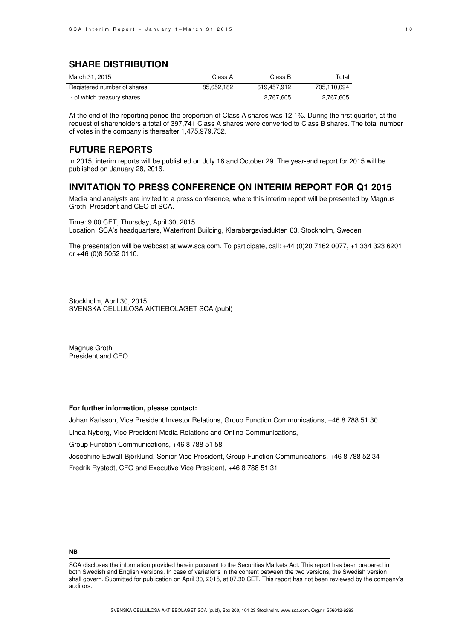## **SHARE DISTRIBUTION**

| March 31, 2015              | Class A    | Class B     | Total       |
|-----------------------------|------------|-------------|-------------|
| Registered number of shares | 85.652.182 | 619.457.912 | 705.110.094 |
| - of which treasury shares  |            | 2.767.605   | 2.767.605   |

At the end of the reporting period the proportion of Class A shares was 12.1%. During the first quarter, at the request of shareholders a total of 397,741 Class A shares were converted to Class B shares. The total number of votes in the company is thereafter 1,475,979,732.

### **FUTURE REPORTS**

In 2015, interim reports will be published on July 16 and October 29. The year-end report for 2015 will be published on January 28, 2016.

### **INVITATION TO PRESS CONFERENCE ON INTERIM REPORT FOR Q1 2015**

Media and analysts are invited to a press conference, where this interim report will be presented by Magnus Groth, President and CEO of SCA.

Time: 9:00 CET, Thursday, April 30, 2015 Location: SCA's headquarters, Waterfront Building, Klarabergsviadukten 63, Stockholm, Sweden

The presentation will be webcast at www.sca.com. To participate, call: +44 (0)20 7162 0077, +1 334 323 6201 or +46 (0)8 5052 0110.

Stockholm, April 30, 2015 SVENSKA CELLULOSA AKTIEBOLAGET SCA (publ)

Magnus Groth President and CEO

### **For further information, please contact:**

Johan Karlsson, Vice President Investor Relations, Group Function Communications, +46 8 788 51 30 Linda Nyberg, Vice President Media Relations and Online Communications, Group Function Communications, +46 8 788 51 58

Joséphine Edwall-Björklund, Senior Vice President, Group Function Communications, +46 8 788 52 34 Fredrik Rystedt, CFO and Executive Vice President, +46 8 788 51 31

#### **NB**

SCA discloses the information provided herein pursuant to the Securities Markets Act. This report has been prepared in both Swedish and English versions. In case of variations in the content between the two versions, the Swedish version shall govern. Submitted for publication on April 30, 2015, at 07.30 CET. This report has not been reviewed by the company's auditors.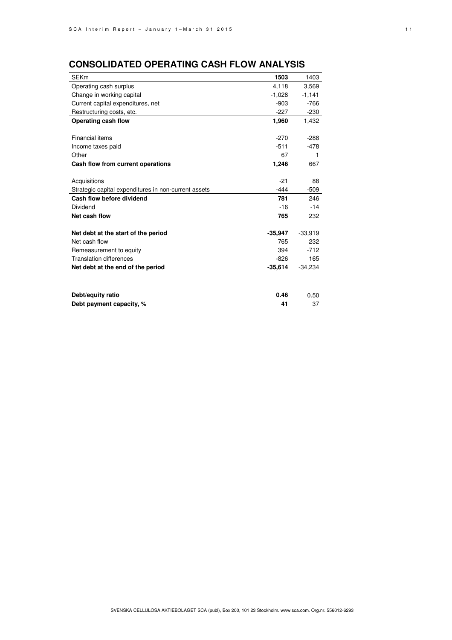# **CONSOLIDATED OPERATING CASH FLOW ANALYSIS**

| <b>SEKm</b>                                          | 1503      | 1403      |
|------------------------------------------------------|-----------|-----------|
| Operating cash surplus                               | 4,118     | 3,569     |
| Change in working capital                            | $-1,028$  | $-1,141$  |
| Current capital expenditures, net                    | $-903$    | $-766$    |
| Restructuring costs, etc.                            | $-227$    | $-230$    |
| Operating cash flow                                  | 1,960     | 1,432     |
|                                                      |           |           |
| Financial items                                      | $-270$    | $-288$    |
| Income taxes paid                                    | $-511$    | $-478$    |
| Other                                                | 67        | 1         |
| Cash flow from current operations                    | 1,246     | 667       |
|                                                      |           |           |
| Acquisitions                                         | $-21$     | 88        |
| Strategic capital expenditures in non-current assets | $-444$    | $-509$    |
| Cash flow before dividend                            | 781       | 246       |
| Dividend                                             | $-16$     | $-14$     |
| Net cash flow                                        | 765       | 232       |
|                                                      |           |           |
| Net debt at the start of the period                  | $-35,947$ | $-33,919$ |
| Net cash flow                                        | 765       | 232       |
| Remeasurement to equity                              | 394       | $-712$    |
| <b>Translation differences</b>                       | $-826$    | 165       |
| Net debt at the end of the period                    | $-35,614$ | $-34,234$ |
|                                                      |           |           |
| Debt/equity ratio                                    | 0.46      | 0.50      |
| Debt payment capacity, %                             | 41        | 37        |
|                                                      |           |           |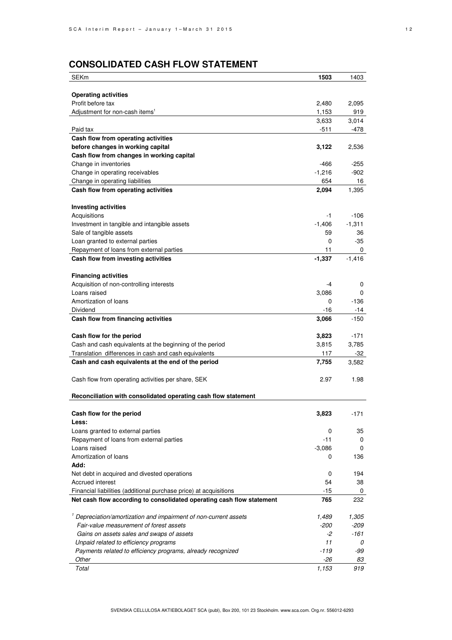# **CONSOLIDATED CASH FLOW STATEMENT**

| <b>SEKm</b>                                                                 | 1503         | 1403          |
|-----------------------------------------------------------------------------|--------------|---------------|
|                                                                             |              |               |
| <b>Operating activities</b>                                                 |              |               |
| Profit before tax                                                           | 2,480        | 2,095         |
| Adjustment for non-cash items <sup>1</sup>                                  | 1,153        | 919           |
|                                                                             | 3,633        | 3,014         |
| Paid tax                                                                    | $-511$       | -478          |
| Cash flow from operating activities                                         |              |               |
| before changes in working capital                                           | 3,122        | 2,536         |
| Cash flow from changes in working capital                                   |              |               |
| Change in inventories                                                       | -466         | $-255$        |
| Change in operating receivables                                             | $-1,216$     | $-902$        |
| Change in operating liabilities                                             | 654          | 16            |
| Cash flow from operating activities                                         | 2,094        | 1,395         |
|                                                                             |              |               |
| <b>Investing activities</b>                                                 |              |               |
| Acquisitions                                                                | -1           | $-106$        |
| Investment in tangible and intangible assets                                | $-1,406$     | $-1,311$      |
| Sale of tangible assets                                                     | 59           | 36            |
| Loan granted to external parties                                            | 0            | $-35$         |
| Repayment of loans from external parties                                    | 11           | 0             |
| Cash flow from investing activities                                         | $-1,337$     | $-1,416$      |
|                                                                             |              |               |
| <b>Financing activities</b>                                                 |              |               |
| Acquisition of non-controlling interests                                    | $-4$         | 0             |
| Loans raised                                                                | 3,086        | 0             |
| Amortization of loans                                                       | 0            | $-136$        |
| Dividend                                                                    | -16<br>3,066 | -14<br>$-150$ |
| Cash flow from financing activities                                         |              |               |
| Cash flow for the period                                                    | 3,823        | $-171$        |
| Cash and cash equivalents at the beginning of the period                    | 3,815        | 3,785         |
| Translation differences in cash and cash equivalents                        | 117          | -32           |
| Cash and cash equivalents at the end of the period                          | 7,755        | 3,582         |
|                                                                             |              |               |
| Cash flow from operating activities per share, SEK                          | 2.97         | 1.98          |
|                                                                             |              |               |
| Reconciliation with consolidated operating cash flow statement              |              |               |
|                                                                             |              |               |
| Cash flow for the period                                                    | 3,823        | $-171$        |
| Less:                                                                       |              |               |
| Loans granted to external parties                                           | 0            | 35            |
| Repayment of loans from external parties                                    | $-11$        | 0             |
| Loans raised                                                                | $-3,086$     | 0             |
| Amortization of loans                                                       | 0            | 136           |
| Add:                                                                        |              |               |
| Net debt in acquired and divested operations                                | 0            | 194           |
| Accrued interest                                                            | 54           | 38            |
| Financial liabilities (additional purchase price) at acquisitions           | -15          | 0             |
| Net cash flow according to consolidated operating cash flow statement       | 765          | 232           |
| <sup>1</sup> Depreciation/amortization and impairment of non-current assets | 1,489        | 1,305         |
| Fair-value measurement of forest assets                                     | -200         | $-209$        |
| Gains on assets sales and swaps of assets                                   | -2           | -161          |
| Unpaid related to efficiency programs                                       | 11           | 0             |
| Payments related to efficiency programs, already recognized                 | $-119$       | -99           |
| Other                                                                       | -26          | 83            |
| Total                                                                       | 1,153        | 919           |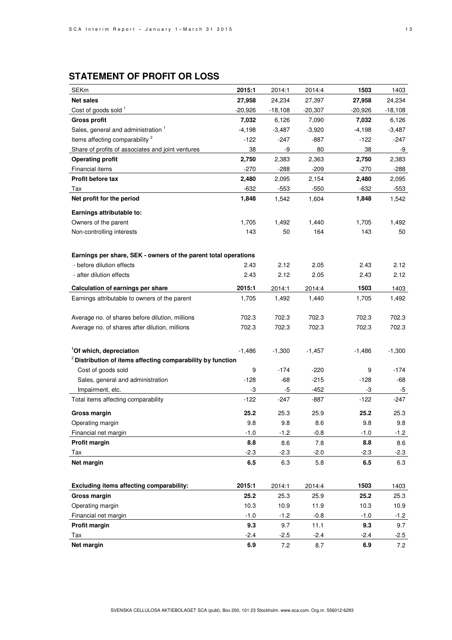# **STATEMENT OF PROFIT OR LOSS**

| <b>SEKm</b>                                                            | 2015:1    | 2014:1    | 2014:4    | 1503      | 1403      |
|------------------------------------------------------------------------|-----------|-----------|-----------|-----------|-----------|
| <b>Net sales</b>                                                       | 27,958    | 24,234    | 27,397    | 27,958    | 24,234    |
| Cost of goods sold <sup>1</sup>                                        | $-20,926$ | $-18,108$ | $-20,307$ | $-20,926$ | $-18,108$ |
| <b>Gross profit</b>                                                    | 7,032     | 6,126     | 7,090     | 7,032     | 6,126     |
| Sales, general and administration 1                                    | -4,198    | $-3,487$  | $-3,920$  | $-4,198$  | $-3,487$  |
| Items affecting comparability <sup>2</sup>                             | $-122$    | $-247$    | $-887$    | $-122$    | -247      |
| Share of profits of associates and joint ventures                      | 38        | -9        | 80        | 38        | -9        |
| <b>Operating profit</b>                                                | 2,750     | 2,383     | 2,363     | 2,750     | 2,383     |
| Financial items                                                        | $-270$    | $-288$    | $-209$    | $-270$    | $-288$    |
| <b>Profit before tax</b>                                               | 2,480     | 2,095     | 2,154     | 2,480     | 2,095     |
| Tax                                                                    | -632      | $-553$    | -550      | $-632$    | $-553$    |
| Net profit for the period                                              | 1,848     | 1,542     | 1,604     | 1,848     | 1,542     |
| Earnings attributable to:                                              |           |           |           |           |           |
| Owners of the parent                                                   | 1,705     | 1,492     | 1,440     | 1,705     | 1,492     |
| Non-controlling interests                                              | 143       | 50        | 164       | 143       | 50        |
|                                                                        |           |           |           |           |           |
| Earnings per share, SEK - owners of the parent total operations        |           |           |           |           |           |
| - before dilution effects                                              | 2.43      | 2.12      | 2.05      | 2.43      | 2.12      |
| - after dilution effects                                               | 2.43      | 2.12      | 2.05      | 2.43      | 2.12      |
|                                                                        |           |           |           |           |           |
| Calculation of earnings per share                                      | 2015:1    | 2014:1    | 2014:4    | 1503      | 1403      |
| Earnings attributable to owners of the parent                          | 1,705     | 1,492     | 1,440     | 1,705     | 1,492     |
|                                                                        |           |           |           |           |           |
| Average no. of shares before dilution, millions                        | 702.3     | 702.3     | 702.3     | 702.3     | 702.3     |
| Average no. of shares after dilution, millions                         | 702.3     | 702.3     | 702.3     | 702.3     | 702.3     |
|                                                                        |           |           |           |           |           |
| <sup>1</sup> Of which, depreciation                                    | $-1,486$  | $-1,300$  | $-1,457$  | $-1,486$  | $-1,300$  |
| <sup>2</sup> Distribution of items affecting comparability by function |           |           |           |           |           |
| Cost of goods sold                                                     | 9         | $-174$    | $-220$    | 9         | -174      |
| Sales, general and administration                                      | $-128$    | $-68$     | $-215$    | $-128$    | -68       |
| Impairment, etc.                                                       | -3        | $-5$      | $-452$    | -3        | -5        |
| Total items affecting comparability                                    | $-122$    | $-247$    | $-887$    | $-122$    | -247      |
| Gross margin                                                           | 25.2      | 25.3      | 25.9      | 25.2      | 25.3      |
| Operating margin                                                       | 9.8       | 9.8       | 8.6       | 9.8       | 9.8       |
| Financial net margin                                                   | $-1.0$    | $-1.2$    | $-0.8$    | $-1.0$    | $-1.2$    |
| Profit margin                                                          | 8.8       | 8.6       | 7.8       | 8.8       | 8.6       |
| Tax                                                                    | $-2.3$    | $-2.3$    | $-2.0$    | $-2.3$    | $-2.3$    |
| Net margin                                                             | 6.5       | 6.3       | 5.8       | 6.5       | 6.3       |
|                                                                        |           |           |           |           |           |
| Excluding items affecting comparability:                               | 2015:1    | 2014:1    | 2014:4    | 1503      | 1403      |
| Gross margin                                                           | 25.2      | 25.3      | 25.9      | 25.2      | 25.3      |
| Operating margin                                                       | 10.3      | 10.9      | 11.9      | 10.3      | 10.9      |
| Financial net margin                                                   | $-1.0$    | $-1.2$    | $-0.8$    | $-1.0$    | $-1.2$    |
| <b>Profit margin</b>                                                   | 9.3       | 9.7       | 11.1      | 9.3       | 9.7       |
| Tax                                                                    | $-2.4$    | $-2.5$    | $-2.4$    | $-2.4$    | $-2.5$    |
| Net margin                                                             | 6.9       | 7.2       | 8.7       | 6.9       | 7.2       |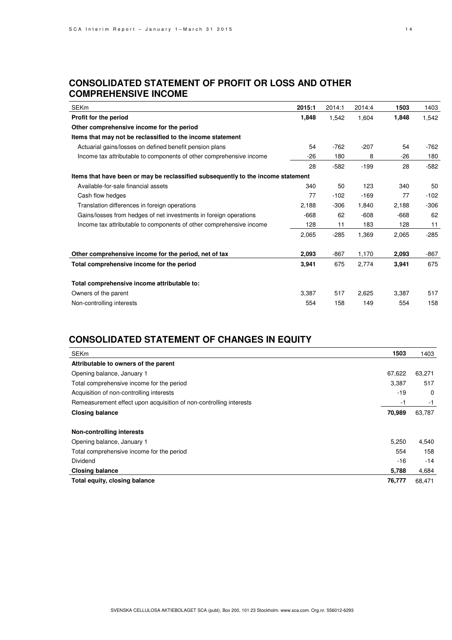## **CONSOLIDATED STATEMENT OF PROFIT OR LOSS AND OTHER COMPREHENSIVE INCOME**

| <b>SEKm</b>                                                                      | 2015:1 | 2014:1 | 2014:4 | 1503   | 1403   |
|----------------------------------------------------------------------------------|--------|--------|--------|--------|--------|
| Profit for the period                                                            | 1,848  | 1,542  | 1,604  | 1,848  | 1,542  |
| Other comprehensive income for the period                                        |        |        |        |        |        |
| Items that may not be reclassified to the income statement                       |        |        |        |        |        |
| Actuarial gains/losses on defined benefit pension plans                          | 54     | $-762$ | $-207$ | 54     | $-762$ |
| Income tax attributable to components of other comprehensive income              | $-26$  | 180    | 8      | -26    | 180    |
|                                                                                  | 28     | $-582$ | $-199$ | 28     | $-582$ |
| Items that have been or may be reclassified subsequently to the income statement |        |        |        |        |        |
| Available-for-sale financial assets                                              | 340    | 50     | 123    | 340    | 50     |
| Cash flow hedges                                                                 | 77     | $-102$ | $-169$ | 77     | $-102$ |
| Translation differences in foreign operations                                    | 2,188  | $-306$ | 1,840  | 2,188  | $-306$ |
| Gains/losses from hedges of net investments in foreign operations                | $-668$ | 62     | $-608$ | $-668$ | 62     |
| Income tax attributable to components of other comprehensive income              | 128    | 11     | 183    | 128    | 11     |
|                                                                                  | 2,065  | $-285$ | 1,369  | 2,065  | $-285$ |
| Other comprehensive income for the period, net of tax                            | 2,093  | $-867$ | 1,170  | 2,093  | $-867$ |
| Total comprehensive income for the period                                        | 3,941  | 675    | 2,774  | 3,941  | 675    |
| Total comprehensive income attributable to:                                      |        |        |        |        |        |
| Owners of the parent                                                             | 3,387  | 517    | 2,625  | 3,387  | 517    |
| Non-controlling interests                                                        | 554    | 158    | 149    | 554    | 158    |

# **CONSOLIDATED STATEMENT OF CHANGES IN EQUITY**

| <b>SEKm</b>                                                        | 1503   | 1403     |
|--------------------------------------------------------------------|--------|----------|
| Attributable to owners of the parent                               |        |          |
| Opening balance, January 1                                         | 67,622 | 63,271   |
| Total comprehensive income for the period                          | 3,387  | 517      |
| Acquisition of non-controlling interests                           | $-19$  | $\Omega$ |
| Remeasurement effect upon acquisition of non-controlling interests | -1     | -1       |
| <b>Closing balance</b>                                             | 70,989 | 63,787   |
| Non-controlling interests                                          |        |          |
| Opening balance, January 1                                         | 5,250  | 4,540    |
| Total comprehensive income for the period                          | 554    | 158      |
| <b>Dividend</b>                                                    | $-16$  | $-14$    |
| <b>Closing balance</b>                                             | 5,788  | 4,684    |
| Total equity, closing balance                                      | 76,777 | 68,471   |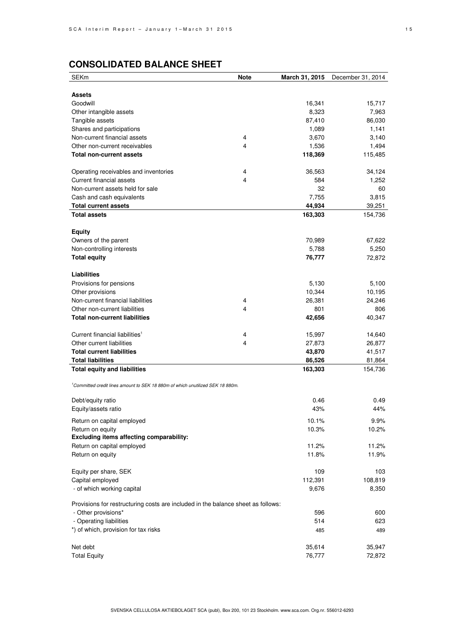# **CONSOLIDATED BALANCE SHEET**

| <b>SEKm</b>                                                                      | Note | March 31, 2015 | December 31, 2014 |
|----------------------------------------------------------------------------------|------|----------------|-------------------|
|                                                                                  |      |                |                   |
| <b>Assets</b>                                                                    |      |                |                   |
| Goodwill                                                                         |      | 16,341         | 15,717            |
| Other intangible assets                                                          |      | 8,323          | 7,963             |
| Tangible assets                                                                  |      | 87,410         | 86,030            |
| Shares and participations                                                        |      | 1,089          | 1,141             |
| Non-current financial assets                                                     | 4    | 3,670          | 3,140             |
| Other non-current receivables                                                    | 4    | 1,536          | 1,494             |
| <b>Total non-current assets</b>                                                  |      | 118,369        | 115,485           |
| Operating receivables and inventories                                            | 4    | 36,563         | 34,124            |
| Current financial assets                                                         | 4    | 584            | 1,252             |
| Non-current assets held for sale                                                 |      | 32             | 60                |
| Cash and cash equivalents                                                        |      | 7,755          | 3,815             |
| <b>Total current assets</b>                                                      |      | 44,934         | 39,251            |
| <b>Total assets</b>                                                              |      | 163,303        | 154,736           |
|                                                                                  |      |                |                   |
| Equity                                                                           |      |                |                   |
| Owners of the parent                                                             |      | 70,989         | 67,622            |
| Non-controlling interests                                                        |      | 5,788          | 5,250             |
| <b>Total equity</b>                                                              |      | 76,777         | 72,872            |
| <b>Liabilities</b>                                                               |      |                |                   |
| Provisions for pensions                                                          |      | 5,130          | 5,100             |
| Other provisions                                                                 |      | 10,344         | 10,195            |
| Non-current financial liabilities                                                | 4    | 26,381         | 24,246            |
| Other non-current liabilities                                                    | 4    | 801            | 806               |
| <b>Total non-current liabilities</b>                                             |      | 42,656         | 40,347            |
|                                                                                  |      |                |                   |
| Current financial liabilities <sup>1</sup>                                       | 4    | 15,997         | 14,640            |
| Other current liabilities                                                        | 4    | 27,873         | 26,877            |
| <b>Total current liabilities</b>                                                 |      | 43,870         | 41,517            |
| <b>Total liabilities</b>                                                         |      | 86,526         | 81,864            |
| <b>Total equity and liabilities</b>                                              |      | 163,303        | 154,736           |
| Committed credit lines amount to SEK 18 880m of which unutilized SEK 18 880m.    |      |                |                   |
| Debt/equity ratio                                                                |      | 0.46           | 0.49              |
| Equity/assets ratio                                                              |      | 43%            | 44%               |
|                                                                                  |      |                |                   |
| Return on capital employed                                                       |      | 10.1%          | 9.9%              |
| Return on equity                                                                 |      | 10.3%          | 10.2%             |
| Excluding items affecting comparability:                                         |      |                |                   |
| Return on capital employed                                                       |      | 11.2%          | 11.2%             |
| Return on equity                                                                 |      | 11.8%          | 11.9%             |
| Equity per share, SEK                                                            |      | 109            | 103               |
| Capital employed                                                                 |      | 112,391        | 108,819           |
| - of which working capital                                                       |      | 9,676          | 8,350             |
| Provisions for restructuring costs are included in the balance sheet as follows: |      |                |                   |
| - Other provisions*                                                              |      | 596            | 600               |
| - Operating liabilities                                                          |      | 514            | 623               |
| *) of which, provision for tax risks                                             |      | 485            | 489               |
|                                                                                  |      |                |                   |
| Net debt                                                                         |      | 35,614         | 35,947            |
| <b>Total Equity</b>                                                              |      | 76,777         | 72,872            |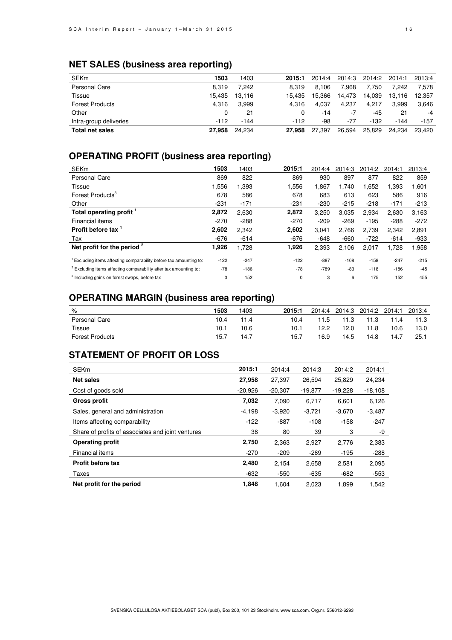# **NET SALES (business area reporting)**

| <b>SEKm</b>            | 1503   | 1403   | 2015:1 | 2014:4 | 2014:3 | 2014:2 | 2014:1 | 2013:4 |
|------------------------|--------|--------|--------|--------|--------|--------|--------|--------|
| Personal Care          | 8.319  | 7.242  | 8.319  | 8.106  | 7.968  | 7.750  | 7.242  | 7.578  |
| Tissue                 | 15.435 | 13.116 | 15.435 | 15.366 | 14.473 | 14.039 | 13.116 | 12.357 |
| <b>Forest Products</b> | 4.316  | 3.999  | 4.316  | 4.037  | 4.237  | 4.217  | 3.999  | 3,646  |
| Other                  | 0      | 21     |        | $-14$  | -7     | -45    | 21     | -4     |
| Intra-group deliveries | $-112$ | $-144$ | $-112$ | -98    | -77    | $-132$ | $-144$ | $-157$ |
| <b>Total net sales</b> | 27,958 | 24.234 | 27,958 | 27.397 | 26.594 | 25.829 | 24.234 | 23.420 |

# **OPERATING PROFIT (business area reporting)**

| <b>SEKm</b>                                                                   | 1503   | 1403   | 2015:1 | 2014:4 | 2014:3 | 2014:2 | 2014:1 | 2013:4 |
|-------------------------------------------------------------------------------|--------|--------|--------|--------|--------|--------|--------|--------|
| <b>Personal Care</b>                                                          | 869    | 822    | 869    | 930    | 897    | 877    | 822    | 859    |
| Tissue                                                                        | .556   | 1,393  | 1,556  | 1,867  | 1.740  | 1,652  | 1,393  | 1,601  |
| Forest Products <sup>3</sup>                                                  | 678    | 586    | 678    | 683    | 613    | 623    | 586    | 916    |
| Other                                                                         | $-231$ | $-171$ | $-231$ | $-230$ | $-215$ | $-218$ | $-171$ | $-213$ |
| Total operating profit                                                        | 2,872  | 2,630  | 2,872  | 3,250  | 3.035  | 2.934  | 2,630  | 3,163  |
| Financial items                                                               | $-270$ | $-288$ | $-270$ | $-209$ | $-269$ | $-195$ | $-288$ | $-272$ |
| Profit before tax <sup>1</sup>                                                | 2,602  | 2.342  | 2,602  | 3.041  | 2.766  | 2.739  | 2,342  | 2,891  |
| Tax                                                                           | -676   | $-614$ | $-676$ | $-648$ | $-660$ | $-722$ | $-614$ | -933   |
| Net profit for the period $2$                                                 | 1,926  | 1,728  | 1,926  | 2,393  | 2,106  | 2,017  | 1,728  | 1,958  |
| <sup>1</sup> Excluding items affecting comparability before tax amounting to: | $-122$ | $-247$ | $-122$ | $-887$ | $-108$ | $-158$ | $-247$ | $-215$ |
| <sup>2</sup> Excluding items affecting comparability after tax amounting to:  | $-78$  | $-186$ | $-78$  | $-789$ | $-83$  | $-118$ | $-186$ | $-45$  |
| <sup>3</sup> Including gains on forest swaps, before tax                      | 0      | 152    | 0      | 3      | 6      | 175    | 152    | 455    |

## **OPERATING MARGIN (business area reporting)**

| %                      | 1503 | 1403 | 2015:1 | 2014:4 | 2014:3 |      | 2014:2 2014:1 2013:4 |      |
|------------------------|------|------|--------|--------|--------|------|----------------------|------|
| Personal Care          | 10.4 | 11.4 | 10.4   | 11.5   | 11.3   | 11.3 | 11.4                 | 11.3 |
| Tissue                 | 10.1 | 10.6 | 10.1   | 12.2   | 12.0   | 11.8 | 10.6                 | 13.0 |
| <b>Forest Products</b> | 15.7 | 14.7 | 15.7   | 16.9   | 14.5   | 14.8 | 14.7                 | 25.1 |

# **STATEMENT OF PROFIT OR LOSS**

| <b>SEKm</b>                                       | 2015:1    | 2014:4    | 2014:3    | 2014:2    | 2014:1    |
|---------------------------------------------------|-----------|-----------|-----------|-----------|-----------|
| Net sales                                         | 27,958    | 27.397    | 26.594    | 25,829    | 24,234    |
| Cost of goods sold                                | $-20.926$ | $-20.307$ | $-19.877$ | $-19,228$ | $-18,108$ |
| <b>Gross profit</b>                               | 7,032     | 7,090     | 6,717     | 6.601     | 6,126     |
| Sales, general and administration                 | $-4,198$  | $-3,920$  | $-3,721$  | $-3,670$  | $-3,487$  |
| Items affecting comparability                     | $-122$    | $-887$    | $-108$    | $-158$    | $-247$    |
| Share of profits of associates and joint ventures | 38        | 80        | 39        | 3         | -9        |
| <b>Operating profit</b>                           | 2,750     | 2,363     | 2,927     | 2,776     | 2,383     |
| Financial items                                   | $-270$    | $-209$    | $-269$    | $-195$    | $-288$    |
| <b>Profit before tax</b>                          | 2,480     | 2,154     | 2,658     | 2,581     | 2,095     |
| Taxes                                             | $-632$    | $-550$    | $-635$    | $-682$    | $-553$    |
| Net profit for the period                         | 1,848     | 1,604     | 2.023     | 1,899     | 1,542     |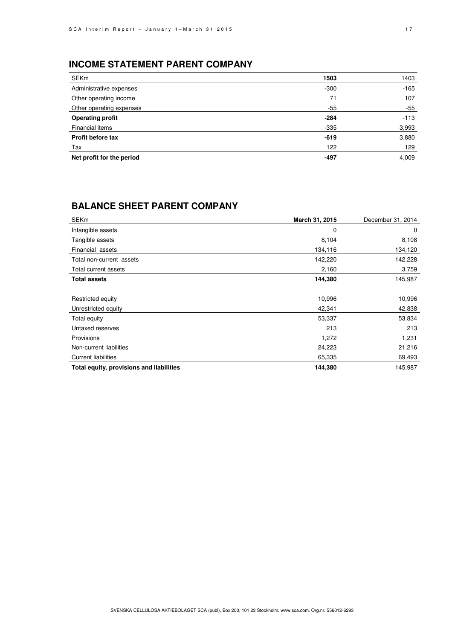# **INCOME STATEMENT PARENT COMPANY**

| SEKm                      | 1503   | 1403   |
|---------------------------|--------|--------|
| Administrative expenses   | $-300$ | $-165$ |
| Other operating income    | 71     | 107    |
| Other operating expenses  | $-55$  | $-55$  |
| <b>Operating profit</b>   | $-284$ | $-113$ |
| Financial items           | $-335$ | 3,993  |
| Profit before tax         | $-619$ | 3,880  |
| Tax                       | 122    | 129    |
| Net profit for the period | -497   | 4,009  |

## **BALANCE SHEET PARENT COMPANY**

| <b>SEKm</b>                              | March 31, 2015 | December 31, 2014 |
|------------------------------------------|----------------|-------------------|
| Intangible assets                        | 0              | 0                 |
| Tangible assets                          | 8,104          | 8,108             |
| Financial assets                         | 134,116        | 134,120           |
| Total non-current assets                 | 142,220        | 142,228           |
| Total current assets                     | 2,160          | 3,759             |
| <b>Total assets</b>                      | 144,380        | 145,987           |
|                                          |                |                   |
| Restricted equity                        | 10,996         | 10,996            |
| Unrestricted equity                      | 42,341         | 42,838            |
| Total equity                             | 53,337         | 53,834            |
| Untaxed reserves                         | 213            | 213               |
| Provisions                               | 1,272          | 1,231             |
| Non-current liabilities                  | 24,223         | 21,216            |
| <b>Current liabilities</b>               | 65,335         | 69,493            |
| Total equity, provisions and liabilities | 144,380        | 145,987           |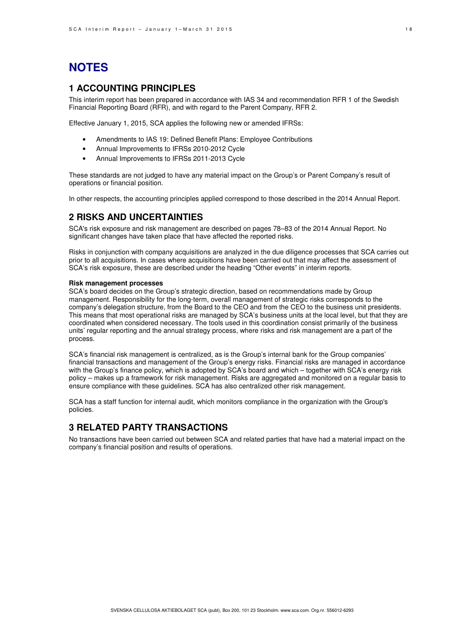# **NOTES**

## **1 ACCOUNTING PRINCIPLES**

This interim report has been prepared in accordance with IAS 34 and recommendation RFR 1 of the Swedish Financial Reporting Board (RFR), and with regard to the Parent Company, RFR 2.

Effective January 1, 2015, SCA applies the following new or amended IFRSs:

- Amendments to IAS 19: Defined Benefit Plans: Employee Contributions
- Annual Improvements to IFRSs 2010-2012 Cycle
- Annual Improvements to IFRSs 2011-2013 Cycle

These standards are not judged to have any material impact on the Group's or Parent Company's result of operations or financial position.

In other respects, the accounting principles applied correspond to those described in the 2014 Annual Report.

### **2 RISKS AND UNCERTAINTIES**

SCA's risk exposure and risk management are described on pages 78–83 of the 2014 Annual Report. No significant changes have taken place that have affected the reported risks.

Risks in conjunction with company acquisitions are analyzed in the due diligence processes that SCA carries out prior to all acquisitions. In cases where acquisitions have been carried out that may affect the assessment of SCA's risk exposure, these are described under the heading "Other events" in interim reports.

### **Risk management processes**

SCA's board decides on the Group's strategic direction, based on recommendations made by Group management. Responsibility for the long-term, overall management of strategic risks corresponds to the company's delegation structure, from the Board to the CEO and from the CEO to the business unit presidents. This means that most operational risks are managed by SCA's business units at the local level, but that they are coordinated when considered necessary. The tools used in this coordination consist primarily of the business units' regular reporting and the annual strategy process, where risks and risk management are a part of the process.

SCA's financial risk management is centralized, as is the Group's internal bank for the Group companies' financial transactions and management of the Group's energy risks. Financial risks are managed in accordance with the Group's finance policy, which is adopted by SCA's board and which – together with SCA's energy risk policy – makes up a framework for risk management. Risks are aggregated and monitored on a regular basis to ensure compliance with these guidelines. SCA has also centralized other risk management.

SCA has a staff function for internal audit, which monitors compliance in the organization with the Group's policies.

### **3 RELATED PARTY TRANSACTIONS**

No transactions have been carried out between SCA and related parties that have had a material impact on the company's financial position and results of operations.